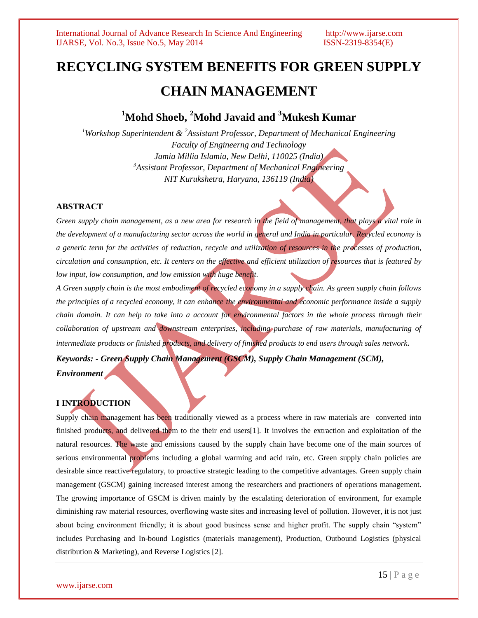# **RECYCLING SYSTEM BENEFITS FOR GREEN SUPPLY CHAIN MANAGEMENT**

# **<sup>1</sup>Mohd Shoeb, <sup>2</sup>Mohd Javaid and <sup>3</sup>Mukesh Kumar**

*<sup>1</sup>Workshop Superintendent & <sup>2</sup>Assistant Professor, Department of Mechanical Engineering Faculty of Engineerng and Technology Jamia Millia Islamia, New Delhi, 110025 (India) <sup>3</sup>Assistant Professor, Department of Mechanical Engineering NIT Kurukshetra, Haryana, 136119 (India)*

### **ABSTRACT**

*Green supply chain management, as a new area for research in the field of management, that plays a vital role in the development of a manufacturing sector across the world in general and India in particular. Recycled economy is a generic term for the activities of reduction, recycle and utilization of resources in the processes of production, circulation and consumption, etc. It centers on the effective and efficient utilization of resources that is featured by low input, low consumption, and low emission with huge benefit.*

*A Green supply chain is the most embodiment of recycled economy in a supply chain. As green supply chain follows the principles of a recycled economy, it can enhance the environmental and economic performance inside a supply chain domain. It can help to take into a account for environmental factors in the whole process through their collaboration of upstream and downstream enterprises, including purchase of raw materials, manufacturing of intermediate products or finished products, and delivery of finished products to end users through sales network*.

*Keywords: - Green Supply Chain Management (GSCM), Supply Chain Management (SCM),* 

*Environment* 

# **I INTRODUCTION**

Supply chain management has been traditionally viewed as a process where in raw materials are converted into finished products, and delivered them to the their end users[1]. It involves the extraction and exploitation of the natural resources. The waste and emissions caused by the supply chain have become one of the main sources of serious environmental problems including a global warming and acid rain, etc. Green supply chain policies are desirable since reactive regulatory, to proactive strategic leading to the competitive advantages. Green supply chain management (GSCM) gaining increased interest among the researchers and practioners of operations management. The growing importance of GSCM is driven mainly by the escalating deterioration of environment, for example diminishing raw material resources, overflowing waste sites and increasing level of pollution. However, it is not just about being environment friendly; it is about good business sense and higher profit. The supply chain "system" includes Purchasing and In-bound Logistics (materials management), Production, Outbound Logistics (physical distribution & Marketing), and Reverse Logistics [2].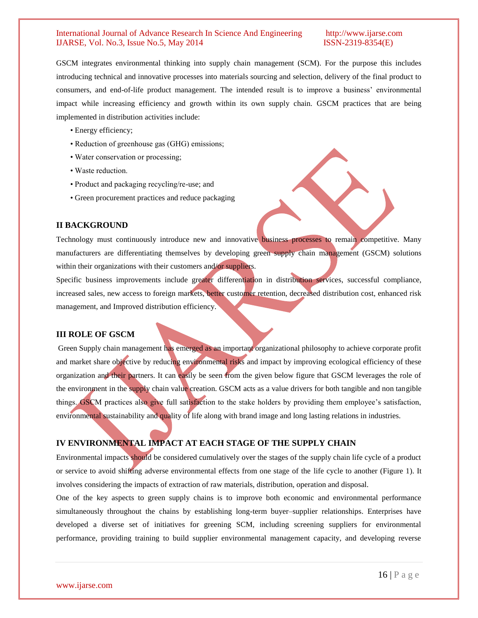GSCM integrates environmental thinking into supply chain management (SCM). For the purpose this includes introducing technical and innovative processes into materials sourcing and selection, delivery of the final product to consumers, and end-of-life product management. The intended result is to improve a business' environmental impact while increasing efficiency and growth within its own supply chain. GSCM practices that are being implemented in distribution activities include:

- Energy efficiency;
- Reduction of greenhouse gas (GHG) emissions;
- Water conservation or processing;
- Waste reduction.
- Product and packaging recycling/re-use; and
- Green procurement practices and reduce packaging

### **II BACKGROUND**

Technology must continuously introduce new and innovative business processes to remain competitive. Many manufacturers are differentiating themselves by developing green supply chain management (GSCM) solutions within their organizations with their customers and/or suppliers.

Specific business improvements include greater differentiation in distribution services, successful compliance, increased sales, new access to foreign markets, better customer retention, decreased distribution cost, enhanced risk management, and Improved distribution efficiency.

### **III ROLE OF GSCM**

Green Supply chain management has emerged as an important organizational philosophy to achieve corporate profit and market share objective by reducing environmental risks and impact by improving ecological efficiency of these organization and their partners. It can easily be seen from the given below figure that GSCM leverages the role of the environment in the supply chain value creation. GSCM acts as a value drivers for both tangible and non tangible things. GSCM practices also give full satisfaction to the stake holders by providing them employee's satisfaction, environmental sustainability and quality of life along with brand image and long lasting relations in industries.

### **IV ENVIRONMENTAL IMPACT AT EACH STAGE OF THE SUPPLY CHAIN**

Environmental impacts should be considered cumulatively over the stages of the supply chain life cycle of a product or service to avoid shifting adverse environmental effects from one stage of the life cycle to another (Figure 1). It involves considering the impacts of extraction of raw materials, distribution, operation and disposal.

One of the key aspects to green supply chains is to improve both economic and environmental performance simultaneously throughout the chains by establishing long-term buyer–supplier relationships. Enterprises have developed a diverse set of initiatives for greening SCM, including screening suppliers for environmental performance, providing training to build supplier environmental management capacity, and developing reverse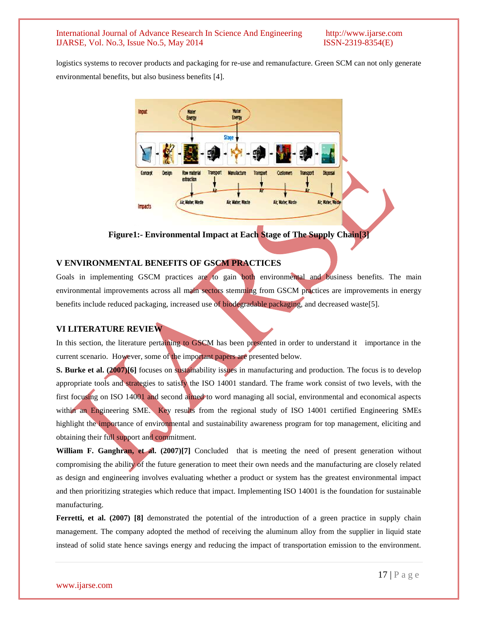logistics systems to recover products and packaging for re-use and remanufacture. Green SCM can not only generate environmental benefits, but also business benefits [4].



**Figure1:- Environmental Impact at Each Stage of The Supply Chain[3]**

#### **V ENVIRONMENTAL BENEFITS OF GSCM PRACTICES**

Goals in implementing GSCM practices are to gain both environmental and business benefits. The main environmental improvements across all main sectors stemming from GSCM practices are improvements in energy benefits include reduced packaging, increased use of biodegradable packaging, and decreased waste[5].

#### **VI LITERATURE REVIEW**

In this section, the literature pertaining to GSCM has been presented in order to understand it importance in the current scenario. However, some of the important papers are presented below.

**S. Burke et al. (2007)[6]** focuses on sustainability issues in manufacturing and production. The focus is to develop appropriate tools and strategies to satisfy the ISO 14001 standard. The frame work consist of two levels, with the first focusing on ISO 14001 and second aimed to word managing all social, environmental and economical aspects within an Engineering SME. Key results from the regional study of ISO 14001 certified Engineering SMEs highlight the importance of environmental and sustainability awareness program for top management, eliciting and obtaining their full support and commitment.

**William F. Ganghran, et al. (2007)[7]** Concluded that is meeting the need of present generation without compromising the ability of the future generation to meet their own needs and the manufacturing are closely related as design and engineering involves evaluating whether a product or system has the greatest environmental impact and then prioritizing strategies which reduce that impact. Implementing ISO 14001 is the foundation for sustainable manufacturing.

**Ferretti, et al. (2007) [8]** demonstrated the potential of the introduction of a green practice in supply chain management. The company adopted the method of receiving the aluminum alloy from the supplier in liquid state instead of solid state hence savings energy and reducing the impact of transportation emission to the environment.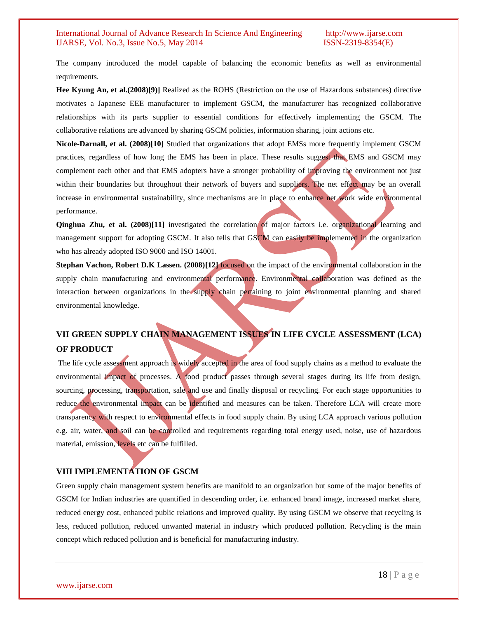The company introduced the model capable of balancing the economic benefits as well as environmental requirements.

**Hee Kyung An, et al.(2008)[9)]** Realized as the ROHS (Restriction on the use of Hazardous substances) directive motivates a Japanese EEE manufacturer to implement GSCM, the manufacturer has recognized collaborative relationships with its parts supplier to essential conditions for effectively implementing the GSCM. The collaborative relations are advanced by sharing GSCM policies, information sharing, joint actions etc.

**Nicole-Darnall, et al. (2008)[10]** Studied that organizations that adopt EMSs more frequently implement GSCM practices, regardless of how long the EMS has been in place. These results suggest that EMS and GSCM may complement each other and that EMS adopters have a stronger probability of improving the environment not just within their boundaries but throughout their network of buyers and suppliers. The net effect may be an overall increase in environmental sustainability, since mechanisms are in place to enhance net work wide environmental performance.

**Qinghua Zhu, et al. (2008)[11]** investigated the correlation of major factors i.e. organizational learning and management support for adopting GSCM. It also tells that GSCM can easily be implemented in the organization who has already adopted ISO 9000 and ISO 14001.

**Stephan Vachon, Robert D.K Lassen. (2008)[12] focused on the impact of the environmental collaboration in the** supply chain manufacturing and environmental performance. Environmental collaboration was defined as the interaction between organizations in the supply chain pertaining to joint environmental planning and shared environmental knowledge.

# **VII GREEN SUPPLY CHAIN MANAGEMENT ISSUES IN LIFE CYCLE ASSESSMENT (LCA) OF PRODUCT**

The life cycle assessment approach is widely accepted in the area of food supply chains as a method to evaluate the environmental impact of processes. A food product passes through several stages during its life from design, sourcing, processing, transportation, sale and use and finally disposal or recycling. For each stage opportunities to reduce the environmental impact can be identified and measures can be taken. Therefore LCA will create more transparency with respect to environmental effects in food supply chain. By using LCA approach various pollution e.g. air, water, and soil can be controlled and requirements regarding total energy used, noise, use of hazardous material, emission, levels etc can be fulfilled.

## **VIII IMPLEMENTATION OF GSCM**

Green supply chain management system benefits are manifold to an organization but some of the major benefits of GSCM for Indian industries are quantified in descending order, i.e. enhanced brand image, increased market share, reduced energy cost, enhanced public relations and improved quality. By using GSCM we observe that recycling is less, reduced pollution, reduced unwanted material in industry which produced pollution. Recycling is the main concept which reduced pollution and is beneficial for manufacturing industry.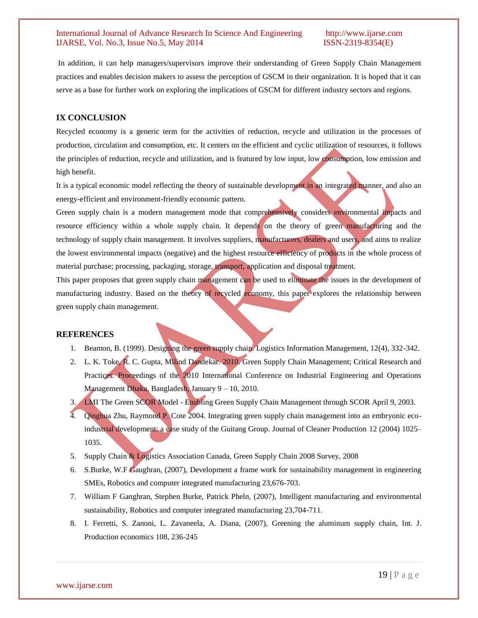In addition, it can help managers/supervisors improve their understanding of Green Supply Chain Management practices and enables decision makers to assess the perception of GSCM in their organization. It is hoped that it can serve as a base for further work on exploring the implications of GSCM for different industry sectors and regions.

### **IX CONCLUSION**

Recycled economy is a generic term for the activities of reduction, recycle and utilization in the processes of production, circulation and consumption, etc. It centers on the efficient and cyclic utilization of resources, it follows the principles of reduction, recycle and utilization, and is featured by low input, low consumption, low emission and high benefit.

It is a typical economic model reflecting the theory of sustainable development in an integrated manner, and also an energy-efficient and environment-friendly economic pattern.

Green supply chain is a modern management mode that comprehensively considers environmental impacts and resource efficiency within a whole supply chain. It depends on the theory of green manufacturing and the technology of supply chain management. It involves suppliers, manufacturers, dealers and users, and aims to realize the lowest environmental impacts (negative) and the highest resource efficiency of products in the whole process of material purchase; processing, packaging, storage, transport, application and disposal treatment.

This paper proposes that green supply chain management can be used to eliminate the issues in the development of manufacturing industry. Based on the theory of recycled economy, this paper explores the relationship between green supply chain management.

### **REFERENCES**

- 1. Beamon, B. (1999). Designing the green supply chain. Logistics Information Management, 12(4), 332-342.
- 2. L. K. Toke, R. C. Gupta, Milind Dandekar. 2010. Green Supply Chain Management; Critical Research and Practices. Proceedings of the 2010 International Conference on Industrial Engineering and Operations Management Dhaka, Bangladesh, January 9 – 10, 2010.
- 3. LMI The Green SCOR Model Enabling Green Supply Chain Management through SCOR April 9, 2003.
- 4. Qinghua Zhu, Raymond P. Cote 2004. Integrating green supply chain management into an embryonic ecoindustrial development: a case study of the Guitang Group. Journal of Cleaner Production 12 (2004) 1025– 1035.
- 5. Supply Chain & Logistics Association Canada, Green Supply Chain 2008 Survey, 2008
- 6. S.Burke, W.F Gaughran, (2007), Development a frame work for sustainability management in engineering SMEs, Robotics and computer integrated manufacturing 23,676-703.
- 7. William F Ganghran, Stephen Burke, Patrick Pheln, (2007), Intelligent manufacturing and environmental sustainability, Robotics and computer integrated manufacturing 23,704-711.
- 8. I. Ferretti, S. Zanoni, L. Zavaneela, A. Diana, (2007), Greening the aluminum supply chain, Int. J. Production economics 108, 236-245